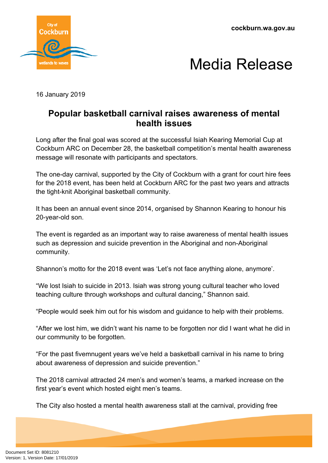**cockburn.wa.gov.au**





16 January 2019

## **Popular basketball carnival raises awareness of mental health issues**

Long after the final goal was scored at the successful Isiah Kearing Memorial Cup at Cockburn ARC on December 28, the basketball competition's mental health awareness message will resonate with participants and spectators.

The one-day carnival, supported by the City of Cockburn with a grant for court hire fees for the 2018 event, has been held at Cockburn ARC for the past two years and attracts the tight-knit Aboriginal basketball community.

It has been an annual event since 2014, organised by Shannon Kearing to honour his 20-year-old son.

The event is regarded as an important way to raise awareness of mental health issues such as depression and suicide prevention in the Aboriginal and non-Aboriginal community.

Shannon's motto for the 2018 event was 'Let's not face anything alone, anymore'.

"We lost Isiah to suicide in 2013. Isiah was strong young cultural teacher who loved teaching culture through workshops and cultural dancing," Shannon said.

"People would seek him out for his wisdom and guidance to help with their problems.

"After we lost him, we didn't want his name to be forgotten nor did I want what he did in our community to be forgotten.

"For the past fivemnugent years we've held a basketball carnival in his name to bring about awareness of depression and suicide prevention."

The 2018 carnival attracted 24 men's and women's teams, a marked increase on the first year's event which hosted eight men's teams.

The City also hosted a mental health awareness stall at the carnival, providing free